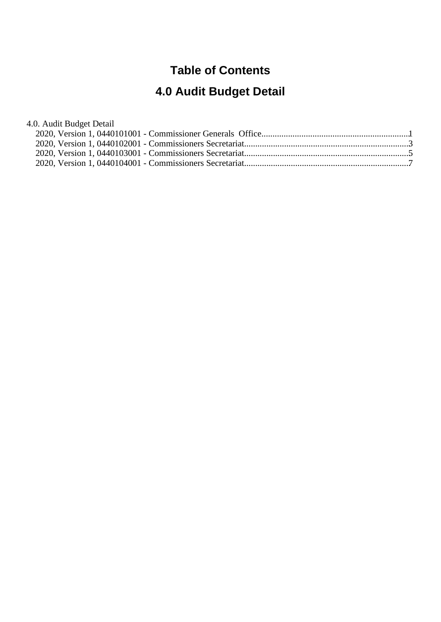# **Table of Contents**

# **4.0 Audit Budget Detail**

| 4.0. Audit Budget Detail |  |
|--------------------------|--|
|--------------------------|--|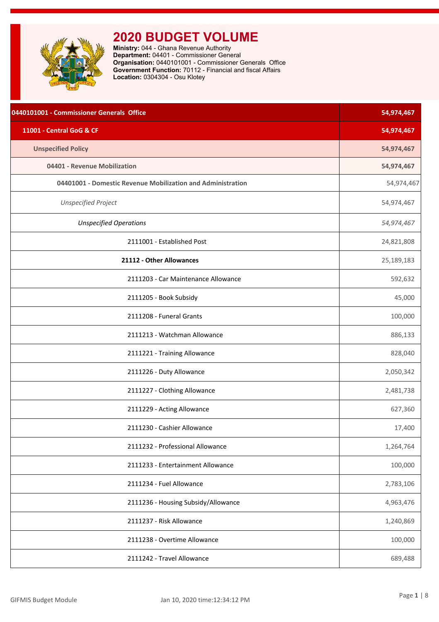<span id="page-1-0"></span>

**Ministry:** 044 - Ghana Revenue Authority **Department:** 04401 - Commissioner General **Organisation:** 0440101001 - Commissioner Generals Office **Government Function:** 70112 - Financial and fiscal Affairs **Location:** 0304304 - Osu Klotey

| 0440101001 - Commissioner Generals Office                   | 54,974,467 |
|-------------------------------------------------------------|------------|
| 11001 - Central GoG & CF                                    | 54,974,467 |
| <b>Unspecified Policy</b>                                   | 54,974,467 |
| 04401 - Revenue Mobilization                                | 54,974,467 |
| 04401001 - Domestic Revenue Mobilization and Administration | 54,974,467 |
| <b>Unspecified Project</b>                                  | 54,974,467 |
| <b>Unspecified Operations</b>                               | 54,974,467 |
| 2111001 - Established Post                                  | 24,821,808 |
| 21112 - Other Allowances                                    | 25,189,183 |
| 2111203 - Car Maintenance Allowance                         | 592,632    |
| 2111205 - Book Subsidy                                      | 45,000     |
| 2111208 - Funeral Grants                                    | 100,000    |
| 2111213 - Watchman Allowance                                | 886,133    |
| 2111221 - Training Allowance                                | 828,040    |
| 2111226 - Duty Allowance                                    | 2,050,342  |
| 2111227 - Clothing Allowance                                | 2,481,738  |
| 2111229 - Acting Allowance                                  | 627,360    |
| 2111230 - Cashier Allowance                                 | 17,400     |
| 2111232 - Professional Allowance                            | 1,264,764  |
| 2111233 - Entertainment Allowance                           | 100,000    |
| 2111234 - Fuel Allowance                                    | 2,783,106  |
| 2111236 - Housing Subsidy/Allowance                         | 4,963,476  |
| 2111237 - Risk Allowance                                    | 1,240,869  |
| 2111238 - Overtime Allowance                                | 100,000    |
| 2111242 - Travel Allowance                                  | 689,488    |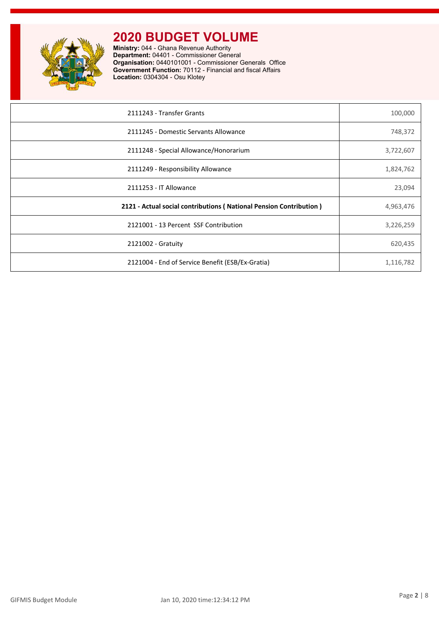

**Ministry:** 044 - Ghana Revenue Authority **Department:** 04401 - Commissioner General **Organisation:** 0440101001 - Commissioner Generals Office **Government Function:** 70112 - Financial and fiscal Affairs **Location:** 0304304 - Osu Klotey

| 2111243 - Transfer Grants                                          | 100,000   |
|--------------------------------------------------------------------|-----------|
| 2111245 - Domestic Servants Allowance                              | 748,372   |
| 2111248 - Special Allowance/Honorarium                             | 3,722,607 |
| 2111249 - Responsibility Allowance                                 | 1,824,762 |
| 2111253 - IT Allowance                                             | 23,094    |
| 2121 - Actual social contributions (National Pension Contribution) | 4,963,476 |
| 2121001 - 13 Percent SSF Contribution                              | 3,226,259 |
| 2121002 - Gratuity                                                 | 620,435   |
| 2121004 - End of Service Benefit (ESB/Ex-Gratia)                   | 1,116,782 |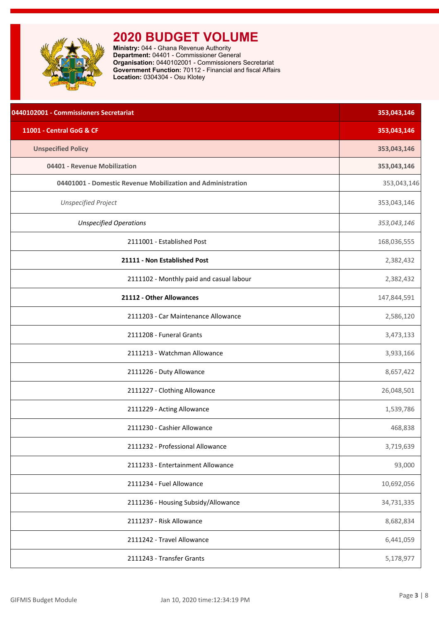<span id="page-3-0"></span>

**Ministry:** 044 - Ghana Revenue Authority **Department:** 04401 - Commissioner General **Organisation:** 0440102001 - Commissioners Secretariat **Government Function:** 70112 - Financial and fiscal Affairs **Location:** 0304304 - Osu Klotey

| 0440102001 - Commissioners Secretariat                      | 353,043,146 |
|-------------------------------------------------------------|-------------|
| 11001 - Central GoG & CF                                    | 353,043,146 |
| <b>Unspecified Policy</b>                                   | 353,043,146 |
| 04401 - Revenue Mobilization                                | 353,043,146 |
| 04401001 - Domestic Revenue Mobilization and Administration | 353,043,146 |
| <b>Unspecified Project</b>                                  | 353,043,146 |
| <b>Unspecified Operations</b>                               | 353,043,146 |
| 2111001 - Established Post                                  | 168,036,555 |
| 21111 - Non Established Post                                | 2,382,432   |
| 2111102 - Monthly paid and casual labour                    | 2,382,432   |
| 21112 - Other Allowances                                    | 147,844,591 |
| 2111203 - Car Maintenance Allowance                         | 2,586,120   |
| 2111208 - Funeral Grants                                    | 3,473,133   |
| 2111213 - Watchman Allowance                                | 3,933,166   |
| 2111226 - Duty Allowance                                    | 8,657,422   |
| 2111227 - Clothing Allowance                                | 26,048,501  |
| 2111229 - Acting Allowance                                  | 1,539,786   |
| 2111230 - Cashier Allowance                                 | 468,838     |
| 2111232 - Professional Allowance                            | 3,719,639   |
| 2111233 - Entertainment Allowance                           | 93,000      |
| 2111234 - Fuel Allowance                                    | 10,692,056  |
| 2111236 - Housing Subsidy/Allowance                         | 34,731,335  |
| 2111237 - Risk Allowance                                    | 8,682,834   |
| 2111242 - Travel Allowance                                  | 6,441,059   |
| 2111243 - Transfer Grants                                   | 5,178,977   |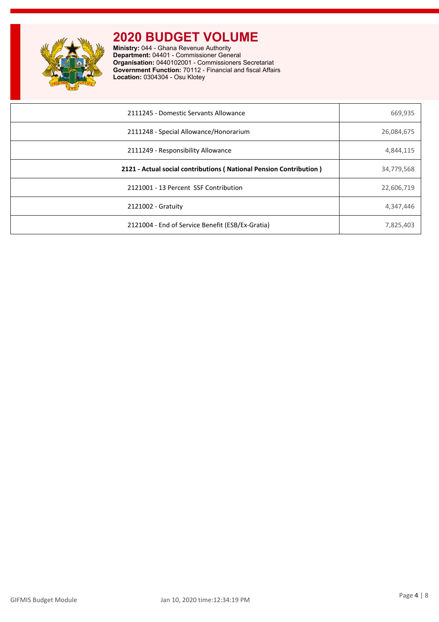

**Ministry:** 044 - Ghana Revenue Authority **Department:** 04401 - Commissioner General **Organisation:** 0440102001 - Commissioners Secretariat **Government Function:** 70112 - Financial and fiscal Affairs **Location:** 0304304 - Osu Klotey

| 2111245 - Domestic Servants Allowance                              | 669,935    |
|--------------------------------------------------------------------|------------|
| 2111248 - Special Allowance/Honorarium                             | 26,084,675 |
| 2111249 - Responsibility Allowance                                 | 4,844,115  |
| 2121 - Actual social contributions (National Pension Contribution) | 34,779,568 |
| 2121001 - 13 Percent SSF Contribution                              | 22,606,719 |
| 2121002 - Gratuity                                                 | 4,347,446  |
| 2121004 - End of Service Benefit (ESB/Ex-Gratia)                   | 7,825,403  |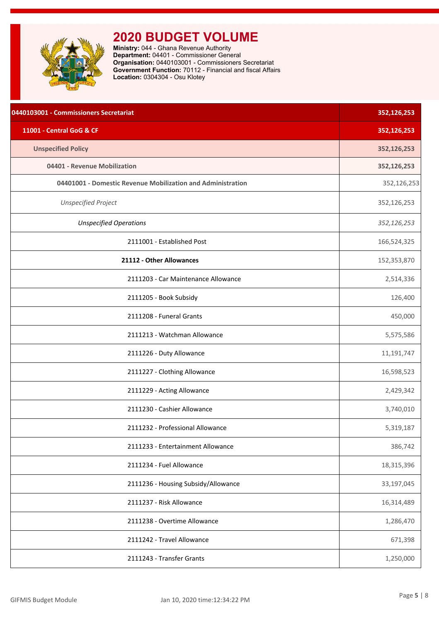<span id="page-5-0"></span>

**Ministry:** 044 - Ghana Revenue Authority **Department:** 04401 - Commissioner General **Organisation:** 0440103001 - Commissioners Secretariat **Government Function:** 70112 - Financial and fiscal Affairs **Location:** 0304304 - Osu Klotey

| 0440103001 - Commissioners Secretariat                      | 352,126,253 |
|-------------------------------------------------------------|-------------|
| 11001 - Central GoG & CF                                    | 352,126,253 |
| <b>Unspecified Policy</b>                                   | 352,126,253 |
| 04401 - Revenue Mobilization                                | 352,126,253 |
| 04401001 - Domestic Revenue Mobilization and Administration | 352,126,253 |
| <b>Unspecified Project</b>                                  | 352,126,253 |
| <b>Unspecified Operations</b>                               | 352,126,253 |
| 2111001 - Established Post                                  | 166,524,325 |
| 21112 - Other Allowances                                    | 152,353,870 |
| 2111203 - Car Maintenance Allowance                         | 2,514,336   |
| 2111205 - Book Subsidy                                      | 126,400     |
| 2111208 - Funeral Grants                                    | 450,000     |
| 2111213 - Watchman Allowance                                | 5,575,586   |
| 2111226 - Duty Allowance                                    | 11,191,747  |
| 2111227 - Clothing Allowance                                | 16,598,523  |
| 2111229 - Acting Allowance                                  | 2,429,342   |
| 2111230 - Cashier Allowance                                 | 3,740,010   |
| 2111232 - Professional Allowance                            | 5,319,187   |
| 2111233 - Entertainment Allowance                           | 386,742     |
| 2111234 - Fuel Allowance                                    | 18,315,396  |
| 2111236 - Housing Subsidy/Allowance                         | 33,197,045  |
| 2111237 - Risk Allowance                                    | 16,314,489  |
| 2111238 - Overtime Allowance                                | 1,286,470   |
| 2111242 - Travel Allowance                                  | 671,398     |
| 2111243 - Transfer Grants                                   | 1,250,000   |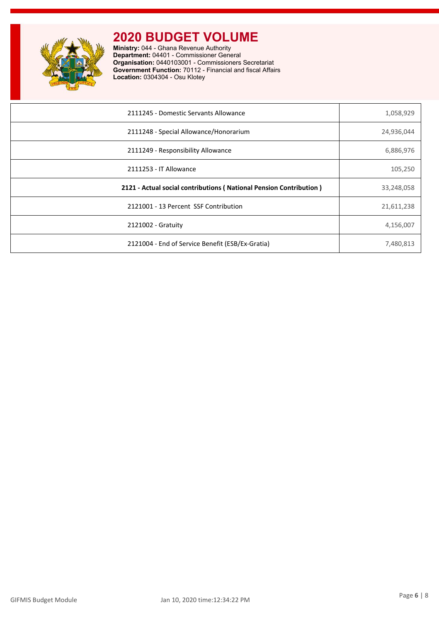

**Ministry:** 044 - Ghana Revenue Authority **Department:** 04401 - Commissioner General **Organisation:** 0440103001 - Commissioners Secretariat **Government Function:** 70112 - Financial and fiscal Affairs **Location:** 0304304 - Osu Klotey

| 2111245 - Domestic Servants Allowance                              | 1,058,929  |
|--------------------------------------------------------------------|------------|
| 2111248 - Special Allowance/Honorarium                             | 24,936,044 |
| 2111249 - Responsibility Allowance                                 | 6,886,976  |
| 2111253 - IT Allowance                                             | 105,250    |
| 2121 - Actual social contributions (National Pension Contribution) | 33,248,058 |
| 2121001 - 13 Percent SSF Contribution                              | 21,611,238 |
| 2121002 - Gratuity                                                 | 4,156,007  |
| 2121004 - End of Service Benefit (ESB/Ex-Gratia)                   | 7,480,813  |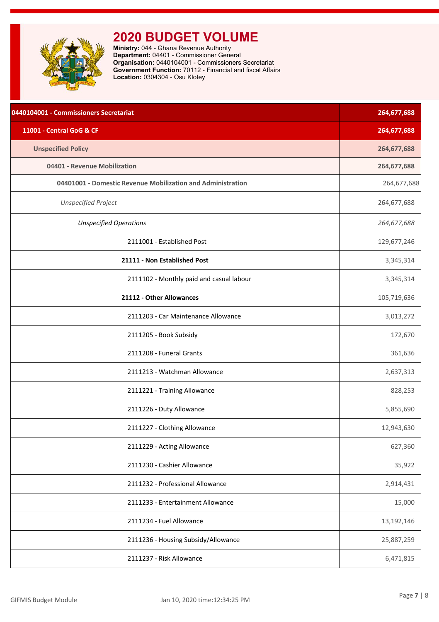<span id="page-7-0"></span>

**Ministry:** 044 - Ghana Revenue Authority **Department:** 04401 - Commissioner General **Organisation:** 0440104001 - Commissioners Secretariat **Government Function:** 70112 - Financial and fiscal Affairs **Location:** 0304304 - Osu Klotey

| 0440104001 - Commissioners Secretariat                      | 264,677,688 |
|-------------------------------------------------------------|-------------|
| 11001 - Central GoG & CF                                    | 264,677,688 |
| <b>Unspecified Policy</b>                                   | 264,677,688 |
| 04401 - Revenue Mobilization                                | 264,677,688 |
| 04401001 - Domestic Revenue Mobilization and Administration | 264,677,688 |
| <b>Unspecified Project</b>                                  | 264,677,688 |
| <b>Unspecified Operations</b>                               | 264,677,688 |
| 2111001 - Established Post                                  | 129,677,246 |
| 21111 - Non Established Post                                | 3,345,314   |
| 2111102 - Monthly paid and casual labour                    | 3,345,314   |
| 21112 - Other Allowances                                    | 105,719,636 |
| 2111203 - Car Maintenance Allowance                         | 3,013,272   |
| 2111205 - Book Subsidy                                      | 172,670     |
| 2111208 - Funeral Grants                                    | 361,636     |
| 2111213 - Watchman Allowance                                | 2,637,313   |
| 2111221 - Training Allowance                                | 828,253     |
| 2111226 - Duty Allowance                                    | 5,855,690   |
| 2111227 - Clothing Allowance                                | 12,943,630  |
| 2111229 - Acting Allowance                                  | 627,360     |
| 2111230 - Cashier Allowance                                 | 35,922      |
| 2111232 - Professional Allowance                            | 2,914,431   |
| 2111233 - Entertainment Allowance                           | 15,000      |
| 2111234 - Fuel Allowance                                    | 13,192,146  |
| 2111236 - Housing Subsidy/Allowance                         | 25,887,259  |
| 2111237 - Risk Allowance                                    | 6,471,815   |